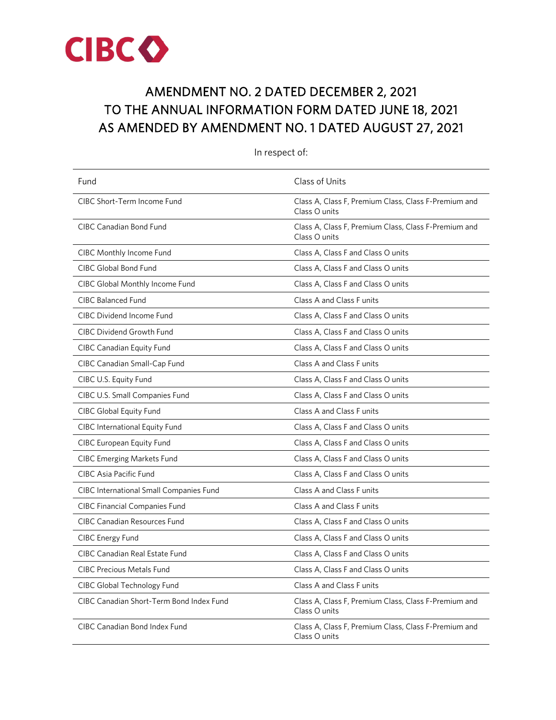

# AMENDMENT NO. 2 DATED DECEMBER 2, 2021 TO THE ANNUAL INFORMATION FORM DATED JUNE 18, 2021 AS AMENDED BY AMENDMENT NO. 1 DATED AUGUST 27, 2021

| Fund                                     | Class of Units                                                        |
|------------------------------------------|-----------------------------------------------------------------------|
| CIBC Short-Term Income Fund              | Class A, Class F, Premium Class, Class F-Premium and<br>Class O units |
| <b>CIBC Canadian Bond Fund</b>           | Class A, Class F, Premium Class, Class F-Premium and<br>Class O units |
| CIBC Monthly Income Fund                 | Class A, Class F and Class O units                                    |
| <b>CIBC Global Bond Fund</b>             | Class A, Class F and Class O units                                    |
| CIBC Global Monthly Income Fund          | Class A, Class F and Class O units                                    |
| <b>CIBC Balanced Fund</b>                | Class A and Class F units                                             |
| <b>CIBC Dividend Income Fund</b>         | Class A, Class F and Class O units                                    |
| <b>CIBC Dividend Growth Fund</b>         | Class A, Class F and Class O units                                    |
| CIBC Canadian Equity Fund                | Class A, Class F and Class O units                                    |
| CIBC Canadian Small-Cap Fund             | Class A and Class F units                                             |
| CIBC U.S. Equity Fund                    | Class A, Class F and Class O units                                    |
| CIBC U.S. Small Companies Fund           | Class A, Class F and Class O units                                    |
| CIBC Global Equity Fund                  | Class A and Class F units                                             |
| <b>CIBC International Equity Fund</b>    | Class A, Class F and Class O units                                    |
| <b>CIBC European Equity Fund</b>         | Class A, Class F and Class O units                                    |
| <b>CIBC Emerging Markets Fund</b>        | Class A, Class F and Class O units                                    |
| CIBC Asia Pacific Fund                   | Class A, Class F and Class O units                                    |
| CIBC International Small Companies Fund  | Class A and Class F units                                             |
| <b>CIBC Financial Companies Fund</b>     | Class A and Class F units                                             |
| <b>CIBC Canadian Resources Fund</b>      | Class A, Class F and Class O units                                    |
| <b>CIBC</b> Energy Fund                  | Class A, Class F and Class O units                                    |
| <b>CIBC Canadian Real Estate Fund</b>    | Class A, Class F and Class O units                                    |
| <b>CIBC Precious Metals Fund</b>         | Class A, Class F and Class O units                                    |
| CIBC Global Technology Fund              | Class A and Class F units                                             |
| CIBC Canadian Short-Term Bond Index Fund | Class A, Class F, Premium Class, Class F-Premium and<br>Class O units |
| CIBC Canadian Bond Index Fund            | Class A, Class F, Premium Class, Class F-Premium and<br>Class O units |

In respect of: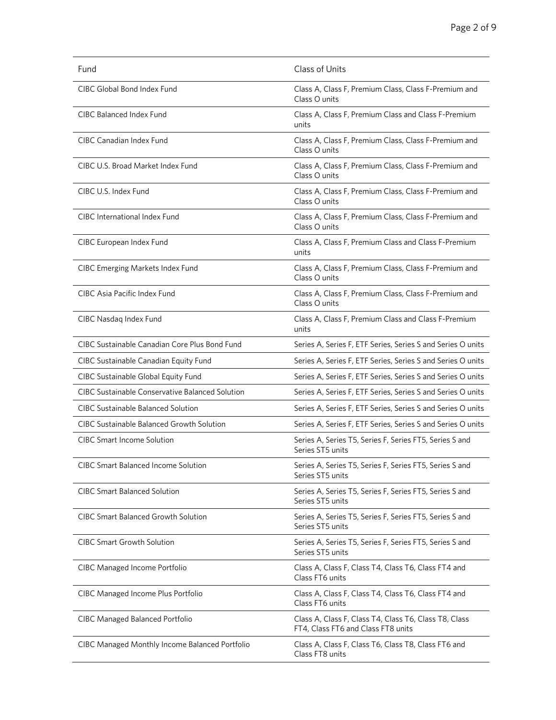| Fund                                             | Class of Units                                                                              |
|--------------------------------------------------|---------------------------------------------------------------------------------------------|
| CIBC Global Bond Index Fund                      | Class A, Class F, Premium Class, Class F-Premium and<br>Class O units                       |
| CIBC Balanced Index Fund                         | Class A, Class F, Premium Class and Class F-Premium<br>units                                |
| <b>CIBC Canadian Index Fund</b>                  | Class A, Class F, Premium Class, Class F-Premium and<br>Class O units                       |
| CIBC U.S. Broad Market Index Fund                | Class A, Class F, Premium Class, Class F-Premium and<br>Class O units                       |
| CIBC U.S. Index Fund                             | Class A, Class F, Premium Class, Class F-Premium and<br>Class O units                       |
| CIBC International Index Fund                    | Class A, Class F, Premium Class, Class F-Premium and<br>Class O units                       |
| CIBC European Index Fund                         | Class A, Class F, Premium Class and Class F-Premium<br>units                                |
| <b>CIBC Emerging Markets Index Fund</b>          | Class A, Class F, Premium Class, Class F-Premium and<br>Class O units                       |
| CIBC Asia Pacific Index Fund                     | Class A, Class F, Premium Class, Class F-Premium and<br>Class O units                       |
| CIBC Nasdaq Index Fund                           | Class A, Class F, Premium Class and Class F-Premium<br>units                                |
| CIBC Sustainable Canadian Core Plus Bond Fund    | Series A, Series F, ETF Series, Series S and Series O units                                 |
| CIBC Sustainable Canadian Equity Fund            | Series A, Series F, ETF Series, Series S and Series O units                                 |
| CIBC Sustainable Global Equity Fund              | Series A, Series F, ETF Series, Series S and Series O units                                 |
| CIBC Sustainable Conservative Balanced Solution  | Series A, Series F, ETF Series, Series S and Series O units                                 |
| <b>CIBC Sustainable Balanced Solution</b>        | Series A, Series F, ETF Series, Series S and Series O units                                 |
| <b>CIBC Sustainable Balanced Growth Solution</b> | Series A, Series F, ETF Series, Series S and Series O units                                 |
| <b>CIBC Smart Income Solution</b>                | Series A, Series T5, Series F, Series FT5, Series S and<br>Series ST5 units                 |
| CIBC Smart Balanced Income Solution              | Series A, Series T5, Series F, Series FT5, Series S and<br>Series ST5 units                 |
| <b>CIBC Smart Balanced Solution</b>              | Series A, Series T5, Series F, Series FT5, Series S and<br>Series ST5 units                 |
| <b>CIBC Smart Balanced Growth Solution</b>       | Series A, Series T5, Series F, Series FT5, Series S and<br>Series ST5 units                 |
| <b>CIBC Smart Growth Solution</b>                | Series A, Series T5, Series F, Series FT5, Series S and<br>Series ST5 units                 |
| <b>CIBC Managed Income Portfolio</b>             | Class A, Class F, Class T4, Class T6, Class FT4 and<br>Class FT6 units                      |
| CIBC Managed Income Plus Portfolio               | Class A, Class F, Class T4, Class T6, Class FT4 and<br>Class FT6 units                      |
| <b>CIBC Managed Balanced Portfolio</b>           | Class A, Class F, Class T4, Class T6, Class T8, Class<br>FT4, Class FT6 and Class FT8 units |
| CIBC Managed Monthly Income Balanced Portfolio   | Class A, Class F, Class T6, Class T8, Class FT6 and<br>Class FT8 units                      |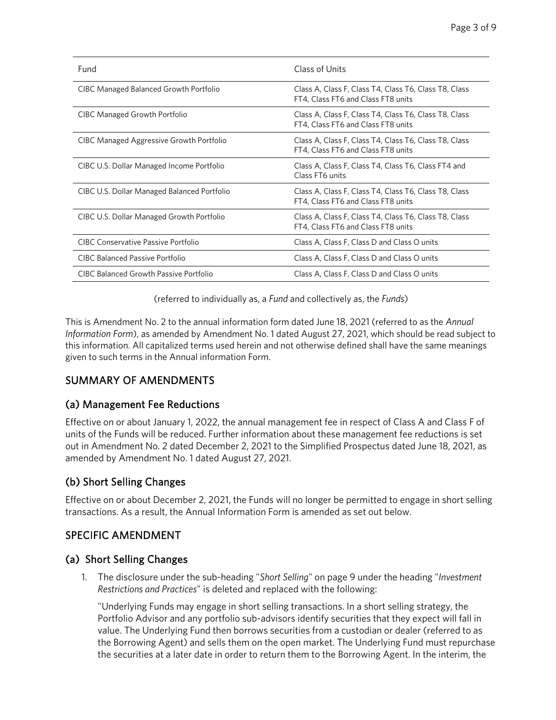| Fund                                        | Class of Units                                                                              |
|---------------------------------------------|---------------------------------------------------------------------------------------------|
| CIBC Managed Balanced Growth Portfolio      | Class A, Class F, Class T4, Class T6, Class T8, Class<br>FT4, Class FT6 and Class FT8 units |
| CIBC Managed Growth Portfolio               | Class A, Class F, Class T4, Class T6, Class T8, Class<br>FT4, Class FT6 and Class FT8 units |
| CIBC Managed Aggressive Growth Portfolio    | Class A, Class F, Class T4, Class T6, Class T8, Class<br>FT4, Class FT6 and Class FT8 units |
| CIBC U.S. Dollar Managed Income Portfolio   | Class A, Class F, Class T4, Class T6, Class FT4 and<br>Class FT6 units                      |
| CIBC U.S. Dollar Managed Balanced Portfolio | Class A, Class F, Class T4, Class T6, Class T8, Class<br>FT4, Class FT6 and Class FT8 units |
| CIBC U.S. Dollar Managed Growth Portfolio   | Class A, Class F, Class T4, Class T6, Class T8, Class<br>FT4, Class FT6 and Class FT8 units |
| CIBC Conservative Passive Portfolio         | Class A, Class F, Class D and Class O units                                                 |
| <b>CIBC Balanced Passive Portfolio</b>      | Class A, Class F, Class D and Class O units                                                 |
| CIBC Balanced Growth Passive Portfolio      | Class A, Class F, Class D and Class O units                                                 |

(referred to individually as, a *Fund* and collectively as, the *Funds*)

This is Amendment No. 2 to the annual information form dated June 18, 2021 (referred to as the *Annual Information Form*), as amended by Amendment No. 1 dated August 27, 2021, which should be read subject to this information. All capitalized terms used herein and not otherwise defined shall have the same meanings given to such terms in the Annual information Form.

## SUMMARY OF AMENDMENTS

### (a) Management Fee Reductions

Effective on or about January 1, 2022, the annual management fee in respect of Class A and Class F of units of the Funds will be reduced. Further information about these management fee reductions is set out in Amendment No. 2 dated December 2, 2021 to the Simplified Prospectus dated June 18, 2021, as amended by Amendment No. 1 dated August 27, 2021.

### (b) Short Selling Changes

Effective on or about December 2, 2021, the Funds will no longer be permitted to engage in short selling transactions. As a result, the Annual Information Form is amended as set out below.

### SPECIFIC AMENDMENT

### (a) Short Selling Changes

1. The disclosure under the sub-heading "*Short Selling*" on page 9 under the heading "*Investment Restrictions and Practices*" is deleted and replaced with the following:

"Underlying Funds may engage in short selling transactions. In a short selling strategy, the Portfolio Advisor and any portfolio sub-advisors identify securities that they expect will fall in value. The Underlying Fund then borrows securities from a custodian or dealer (referred to as the Borrowing Agent) and sells them on the open market. The Underlying Fund must repurchase the securities at a later date in order to return them to the Borrowing Agent. In the interim, the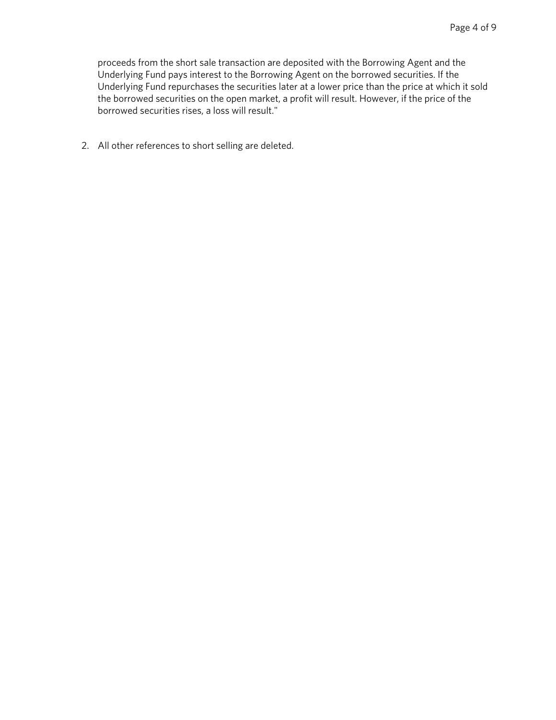proceeds from the short sale transaction are deposited with the Borrowing Agent and the Underlying Fund pays interest to the Borrowing Agent on the borrowed securities. If the Underlying Fund repurchases the securities later at a lower price than the price at which it sold the borrowed securities on the open market, a profit will result. However, if the price of the borrowed securities rises, a loss will result."

2. All other references to short selling are deleted.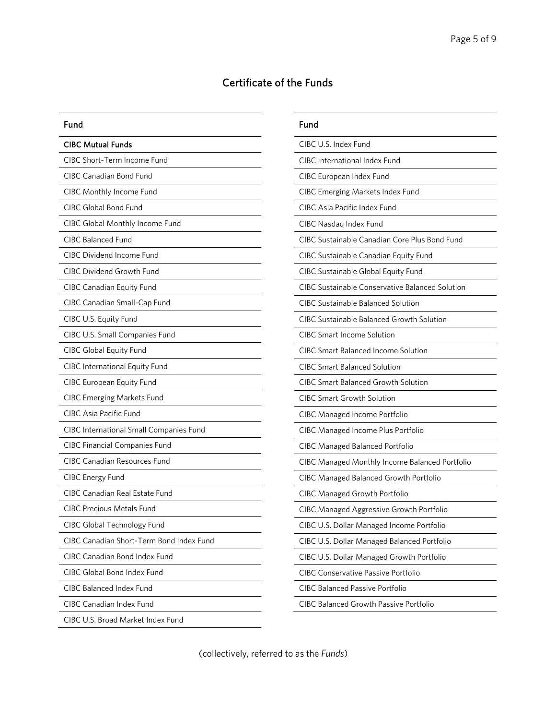## Certificate of the Funds

#### Fund

| <b>CIBC Mutual Funds</b>                 |
|------------------------------------------|
| CIBC Short-Term Income Fund              |
| CIBC Canadian Bond Fund                  |
| CIBC Monthly Income Fund                 |
| <b>CIBC Global Bond Fund</b>             |
| CIBC Global Monthly Income Fund          |
| <b>CIBC Balanced Fund</b>                |
| CIBC Dividend Income Fund                |
| <b>CIBC Dividend Growth Fund</b>         |
| CIBC Canadian Equity Fund                |
| CIBC Canadian Small-Cap Fund             |
| CIBC U.S. Equity Fund                    |
| CIBC U.S. Small Companies Fund           |
| <b>CIBC Global Equity Fund</b>           |
| CIBC International Equity Fund           |
| CIBC European Equity Fund                |
| <b>CIBC Emerging Markets Fund</b>        |
| CIBC Asia Pacific Fund                   |
| CIBC International Small Companies Fund  |
| <b>CIBC Financial Companies Fund</b>     |
| <b>CIBC Canadian Resources Fund</b>      |
| <b>CIBC Energy Fund</b>                  |
| CIBC Canadian Real Estate Fund           |
| <b>CIBC Precious Metals Fund</b>         |
| CIBC Global Technology Fund              |
| CIBC Canadian Short-Term Bond Index Fund |
| CIBC Canadian Bond Index Fund            |
| CIBC Global Bond Index Fund              |
| CIBC Balanced Index Fund                 |
| CIBC Canadian Index Fund                 |
| CIBC U.S. Broad Market Index Fund        |

| Fund                                                   |
|--------------------------------------------------------|
| CIBC U.S. Index Fund                                   |
| <b>CIBC</b> International Index Fund                   |
| CIBC European Index Fund                               |
| <b>CIBC Emerging Markets Index Fund</b>                |
| <b>CIBC Asia Pacific Index Fund</b>                    |
| CIBC Nasdaq Index Fund                                 |
| CIBC Sustainable Canadian Core Plus Bond Fund          |
| CIBC Sustainable Canadian Equity Fund                  |
| CIBC Sustainable Global Equity Fund                    |
| <b>CIBC Sustainable Conservative Balanced Solution</b> |
| <b>CIBC Sustainable Balanced Solution</b>              |
| <b>CIBC Sustainable Balanced Growth Solution</b>       |
| <b>CIBC Smart Income Solution</b>                      |
| <b>CIBC Smart Balanced Income Solution</b>             |
| CIBC Smart Balanced Solution                           |
| <b>CIBC Smart Balanced Growth Solution</b>             |
| <b>CIBC Smart Growth Solution</b>                      |
| CIBC Managed Income Portfolio                          |
| CIBC Managed Income Plus Portfolio                     |
| CIBC Managed Balanced Portfolio                        |
| CIBC Managed Monthly Income Balanced Portfolio         |
| CIBC Managed Balanced Growth Portfolio                 |
| <b>CIBC Managed Growth Portfolio</b>                   |
| CIBC Managed Aggressive Growth Portfolio               |
| CIBC U.S. Dollar Managed Income Portfolio              |
| CIBC U.S. Dollar Managed Balanced Portfolio            |
| CIBC U.S. Dollar Managed Growth Portfolio              |
| <b>CIBC Conservative Passive Portfolio</b>             |
| <b>CIBC Balanced Passive Portfolio</b>                 |
| <b>CIBC Balanced Growth Passive Portfolio</b>          |

(collectively, referred to as the *Funds*)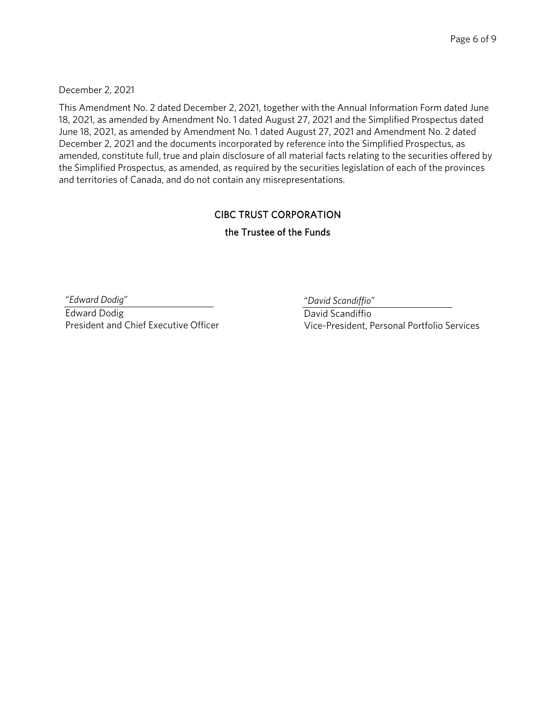December 2, 2021

This Amendment No. 2 dated December 2, 2021, together with the Annual Information Form dated June 18, 2021, as amended by Amendment No. 1 dated August 27, 2021 and the Simplified Prospectus dated June 18, 2021, as amended by Amendment No. 1 dated August 27, 2021 and Amendment No. 2 dated December 2, 2021 and the documents incorporated by reference into the Simplified Prospectus, as amended, constitute full, true and plain disclosure of all material facts relating to the securities offered by the Simplified Prospectus, as amended, as required by the securities legislation of each of the provinces and territories of Canada, and do not contain any misrepresentations.

#### CIBC TRUST CORPORATION

#### the Trustee of the Funds

"*Edward Dodig*"

Edward Dodig President and Chief Executive Officer "*David Scandiffio*"

David Scandiffio Vice-President, Personal Portfolio Services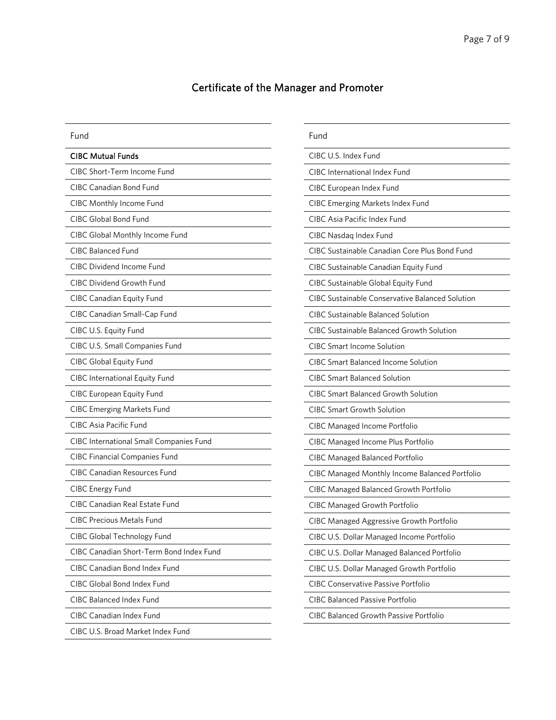## Certificate of the Manager and Promoter

| Fund                                     | Fund                                                   |
|------------------------------------------|--------------------------------------------------------|
| <b>CIBC Mutual Funds</b>                 | CIBC U.S. Index Fund                                   |
| CIBC Short-Term Income Fund              | CIBC International Index Fund                          |
| CIBC Canadian Bond Fund                  | CIBC European Index Fund                               |
| CIBC Monthly Income Fund                 | <b>CIBC Emerging Markets Index Fund</b>                |
| <b>CIBC Global Bond Fund</b>             | CIBC Asia Pacific Index Fund                           |
| CIBC Global Monthly Income Fund          | CIBC Nasdaq Index Fund                                 |
| <b>CIBC Balanced Fund</b>                | CIBC Sustainable Canadian Core Plus Bond Fund          |
| CIBC Dividend Income Fund                | CIBC Sustainable Canadian Equity Fund                  |
| <b>CIBC Dividend Growth Fund</b>         | CIBC Sustainable Global Equity Fund                    |
| CIBC Canadian Equity Fund                | <b>CIBC Sustainable Conservative Balanced Solution</b> |
| CIBC Canadian Small-Cap Fund             | CIBC Sustainable Balanced Solution                     |
| CIBC U.S. Equity Fund                    | <b>CIBC Sustainable Balanced Growth Solution</b>       |
| CIBC U.S. Small Companies Fund           | <b>CIBC Smart Income Solution</b>                      |
| CIBC Global Equity Fund                  | <b>CIBC Smart Balanced Income Solution</b>             |
| <b>CIBC International Equity Fund</b>    | <b>CIBC Smart Balanced Solution</b>                    |
| <b>CIBC European Equity Fund</b>         | <b>CIBC Smart Balanced Growth Solution</b>             |
| <b>CIBC Emerging Markets Fund</b>        | <b>CIBC Smart Growth Solution</b>                      |
| <b>CIBC Asia Pacific Fund</b>            | <b>CIBC Managed Income Portfolio</b>                   |
| CIBC International Small Companies Fund  | CIBC Managed Income Plus Portfolio                     |
| <b>CIBC Financial Companies Fund</b>     | <b>CIBC Managed Balanced Portfolio</b>                 |
| <b>CIBC Canadian Resources Fund</b>      | CIBC Managed Monthly Income Balanced Portfolio         |
| CIBC Energy Fund                         | CIBC Managed Balanced Growth Portfolio                 |
| CIBC Canadian Real Estate Fund           | <b>CIBC Managed Growth Portfolio</b>                   |
| <b>CIBC Precious Metals Fund</b>         | CIBC Managed Aggressive Growth Portfolio               |
| CIBC Global Technology Fund              | CIBC U.S. Dollar Managed Income Portfolio              |
| CIBC Canadian Short-Term Bond Index Fund | CIBC U.S. Dollar Managed Balanced Portfolio            |
| CIBC Canadian Bond Index Fund            | CIBC U.S. Dollar Managed Growth Portfolio              |
| CIBC Global Bond Index Fund              | <b>CIBC Conservative Passive Portfolio</b>             |
| CIBC Balanced Index Fund                 | <b>CIBC Balanced Passive Portfolio</b>                 |
| <b>CIBC Canadian Index Fund</b>          | <b>CIBC Balanced Growth Passive Portfolio</b>          |
| CIBC U.S. Broad Market Index Fund        |                                                        |
|                                          |                                                        |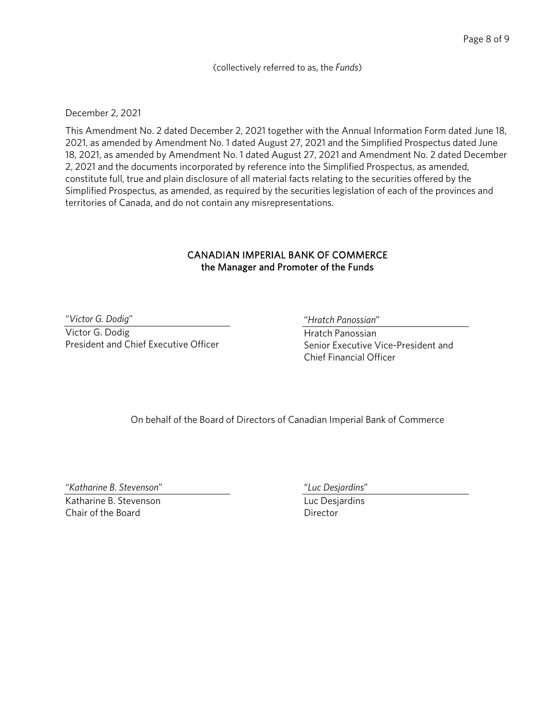(collectively referred to as, the *Funds*)

#### December 2, 2021

This Amendment No. 2 dated December 2, 2021 together with the Annual Information Form dated June 18, 2021, as amended by Amendment No. 1 dated August 27, 2021 and the Simplified Prospectus dated June 18, 2021, as amended by Amendment No. 1 dated August 27, 2021 and Amendment No. 2 dated December 2, 2021 and the documents incorporated by reference into the Simplified Prospectus, as amended, constitute full, true and plain disclosure of all material facts relating to the securities offered by the Simplified Prospectus, as amended, as required by the securities legislation of each of the provinces and territories of Canada, and do not contain any misrepresentations.

#### CANADIAN IMPERIAL BANK OF COMMERCE the Manager and Promoter of the Funds

"*Victor G. Dodig*"

Victor G. Dodig President and Chief Executive Officer "*Hratch Panossian*"

Hratch Panossian Senior Executive Vice-President and Chief Financial Officer

On behalf of the Board of Directors of Canadian Imperial Bank of Commerce

"*Katharine B. Stevenson*"

Katharine B. Stevenson Chair of the Board

"*Luc Desjardins*"

Luc Desjardins **Director**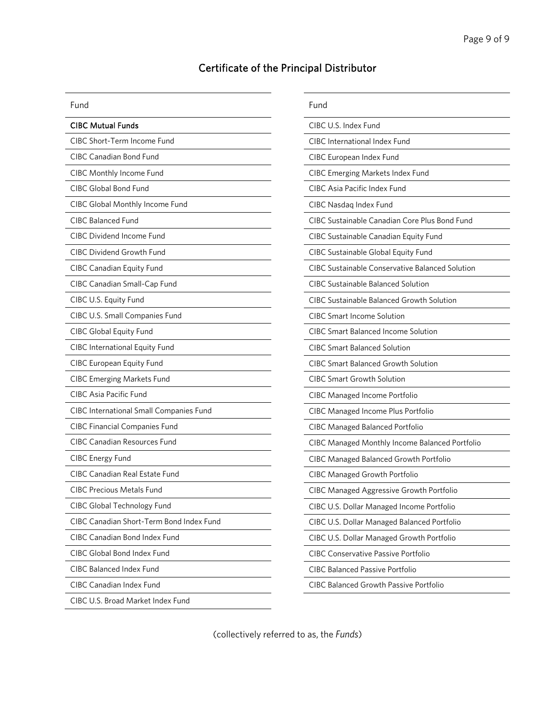## Certificate of the Principal Distributor

| Fund                                     | Fur        |
|------------------------------------------|------------|
| <b>CIBC Mutual Funds</b>                 | <b>CIB</b> |
| CIBC Short-Term Income Fund              | <b>CIB</b> |
| CIBC Canadian Bond Fund                  | <b>CIB</b> |
| CIBC Monthly Income Fund                 | <b>CIB</b> |
| CIBC Global Bond Fund                    | <b>CIB</b> |
| CIBC Global Monthly Income Fund          | <b>CIB</b> |
| CIBC Balanced Fund                       | <b>CIB</b> |
| <b>CIBC Dividend Income Fund</b>         | <b>CIB</b> |
| <b>CIBC Dividend Growth Fund</b>         | <b>CIB</b> |
| CIBC Canadian Equity Fund                | <b>CIB</b> |
| CIBC Canadian Small-Cap Fund             | <b>CIB</b> |
| CIBC U.S. Equity Fund                    | <b>CIB</b> |
| CIBC U.S. Small Companies Fund           | <b>CIB</b> |
| CIBC Global Equity Fund                  | <b>CIB</b> |
| <b>CIBC International Equity Fund</b>    | <b>CIB</b> |
| <b>CIBC European Equity Fund</b>         | <b>CIB</b> |
| <b>CIBC Emerging Markets Fund</b>        | <b>CIB</b> |
| <b>CIBC Asia Pacific Fund</b>            | <b>CIB</b> |
| CIBC International Small Companies Fund  | <b>CIB</b> |
| <b>CIBC Financial Companies Fund</b>     | <b>CIB</b> |
| <b>CIBC Canadian Resources Fund</b>      | CIB        |
| <b>CIBC Energy Fund</b>                  | <b>CIB</b> |
| CIBC Canadian Real Estate Fund           | <b>CIB</b> |
| <b>CIBC Precious Metals Fund</b>         | <b>CIB</b> |
| CIBC Global Technology Fund              | <b>CIB</b> |
| CIBC Canadian Short-Term Bond Index Fund | CIB        |
| CIBC Canadian Bond Index Fund            | <b>CIB</b> |
| CIBC Global Bond Index Fund              | <b>CIB</b> |
| <b>CIBC Balanced Index Fund</b>          | <b>CIB</b> |
| <b>CIBC Canadian Index Fund</b>          | <b>CIB</b> |
| CIBC U.S. Broad Market Index Fund        |            |

| Fund                                |                                                        |
|-------------------------------------|--------------------------------------------------------|
| CIBC U.S. Index Fund                |                                                        |
| CIBC International Index Fund       |                                                        |
| CIBC European Index Fund            |                                                        |
|                                     | <b>CIBC Emerging Markets Index Fund</b>                |
| CIBC Asia Pacific Index Fund        |                                                        |
| CIBC Nasdaq Index Fund              |                                                        |
|                                     | CIBC Sustainable Canadian Core Plus Bond Fund          |
|                                     | CIBC Sustainable Canadian Equity Fund                  |
|                                     | CIBC Sustainable Global Equity Fund                    |
|                                     | <b>CIBC Sustainable Conservative Balanced Solution</b> |
|                                     | CIBC Sustainable Balanced Solution                     |
|                                     | <b>CIBC Sustainable Balanced Growth Solution</b>       |
| <b>CIBC Smart Income Solution</b>   |                                                        |
|                                     | <b>CIBC Smart Balanced Income Solution</b>             |
| <b>CIBC Smart Balanced Solution</b> |                                                        |
|                                     | <b>CIBC Smart Balanced Growth Solution</b>             |
| <b>CIBC Smart Growth Solution</b>   |                                                        |
|                                     | <b>CIBC Managed Income Portfolio</b>                   |
|                                     | CIBC Managed Income Plus Portfolio                     |
|                                     | CIBC Managed Balanced Portfolio                        |
|                                     | CIBC Managed Monthly Income Balanced Portfolio         |
|                                     | CIBC Managed Balanced Growth Portfolio                 |
|                                     | <b>CIBC Managed Growth Portfolio</b>                   |
|                                     | CIBC Managed Aggressive Growth Portfolio               |
|                                     | CIBC U.S. Dollar Managed Income Portfolio              |
|                                     | CIBC U.S. Dollar Managed Balanced Portfolio            |
|                                     | CIBC U.S. Dollar Managed Growth Portfolio              |
|                                     | CIBC Conservative Passive Portfolio                    |
|                                     | <b>CIBC Balanced Passive Portfolio</b>                 |
|                                     | <b>CIBC Balanced Growth Passive Portfolio</b>          |

(collectively referred to as, the *Funds*)